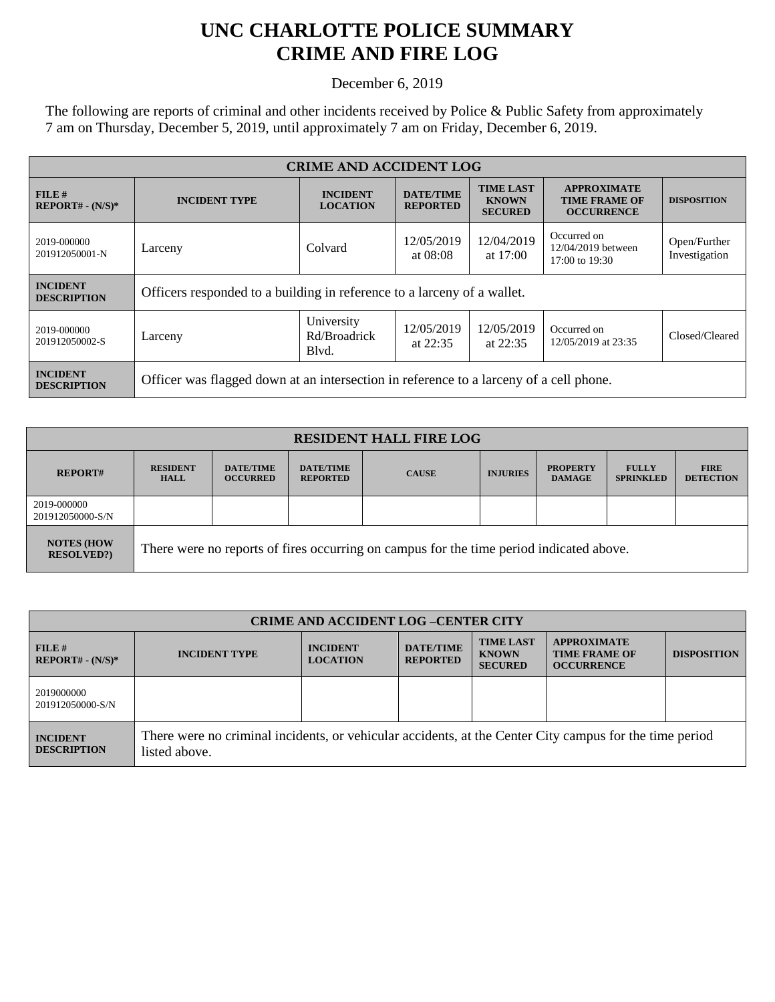## **UNC CHARLOTTE POLICE SUMMARY CRIME AND FIRE LOG**

December 6, 2019

The following are reports of criminal and other incidents received by Police & Public Safety from approximately 7 am on Thursday, December 5, 2019, until approximately 7 am on Friday, December 6, 2019.

| <b>CRIME AND ACCIDENT LOG</b>         |                                                                                        |                                     |                                     |                                                    |                                                                 |                               |
|---------------------------------------|----------------------------------------------------------------------------------------|-------------------------------------|-------------------------------------|----------------------------------------------------|-----------------------------------------------------------------|-------------------------------|
| FILE#<br>$REPORT# - (N/S)*$           | <b>INCIDENT TYPE</b>                                                                   | <b>INCIDENT</b><br><b>LOCATION</b>  | <b>DATE/TIME</b><br><b>REPORTED</b> | <b>TIME LAST</b><br><b>KNOWN</b><br><b>SECURED</b> | <b>APPROXIMATE</b><br><b>TIME FRAME OF</b><br><b>OCCURRENCE</b> | <b>DISPOSITION</b>            |
| 2019-000000<br>201912050001-N         | Larceny                                                                                | Colvard                             |                                     | 12/04/2019<br>at $17:00$                           | Occurred on<br>12/04/2019 between<br>17:00 to 19:30             | Open/Further<br>Investigation |
| <b>INCIDENT</b><br><b>DESCRIPTION</b> | Officers responded to a building in reference to a larceny of a wallet.                |                                     |                                     |                                                    |                                                                 |                               |
| 2019-000000<br>201912050002-S         | Larceny                                                                                | University<br>Rd/Broadrick<br>Blvd. | 12/05/2019<br>at $22:35$            | 12/05/2019<br>at $22:35$                           | Occurred on<br>12/05/2019 at 23:35                              | Closed/Cleared                |
| <b>INCIDENT</b><br><b>DESCRIPTION</b> | Officer was flagged down at an intersection in reference to a larceny of a cell phone. |                                     |                                     |                                                    |                                                                 |                               |

| <b>RESIDENT HALL FIRE LOG</b>         |                                                                                         |                                     |                                     |              |                 |                                  |                                  |                                 |
|---------------------------------------|-----------------------------------------------------------------------------------------|-------------------------------------|-------------------------------------|--------------|-----------------|----------------------------------|----------------------------------|---------------------------------|
| <b>REPORT#</b>                        | <b>RESIDENT</b><br><b>HALL</b>                                                          | <b>DATE/TIME</b><br><b>OCCURRED</b> | <b>DATE/TIME</b><br><b>REPORTED</b> | <b>CAUSE</b> | <b>INJURIES</b> | <b>PROPERTY</b><br><b>DAMAGE</b> | <b>FULLY</b><br><b>SPRINKLED</b> | <b>FIRE</b><br><b>DETECTION</b> |
| 2019-000000<br>201912050000-S/N       |                                                                                         |                                     |                                     |              |                 |                                  |                                  |                                 |
| <b>NOTES (HOW</b><br><b>RESOLVED?</b> | There were no reports of fires occurring on campus for the time period indicated above. |                                     |                                     |              |                 |                                  |                                  |                                 |

| <b>CRIME AND ACCIDENT LOG-CENTER CITY</b> |                                                                                                                          |                                    |                                     |                                                    |                                                                 |                    |
|-------------------------------------------|--------------------------------------------------------------------------------------------------------------------------|------------------------------------|-------------------------------------|----------------------------------------------------|-----------------------------------------------------------------|--------------------|
| FILE#<br>$REPORT# - (N/S)*$               | <b>INCIDENT TYPE</b>                                                                                                     | <b>INCIDENT</b><br><b>LOCATION</b> | <b>DATE/TIME</b><br><b>REPORTED</b> | <b>TIME LAST</b><br><b>KNOWN</b><br><b>SECURED</b> | <b>APPROXIMATE</b><br><b>TIME FRAME OF</b><br><b>OCCURRENCE</b> | <b>DISPOSITION</b> |
| 2019000000<br>201912050000-S/N            |                                                                                                                          |                                    |                                     |                                                    |                                                                 |                    |
| <b>INCIDENT</b><br><b>DESCRIPTION</b>     | There were no criminal incidents, or vehicular accidents, at the Center City campus for the time period<br>listed above. |                                    |                                     |                                                    |                                                                 |                    |